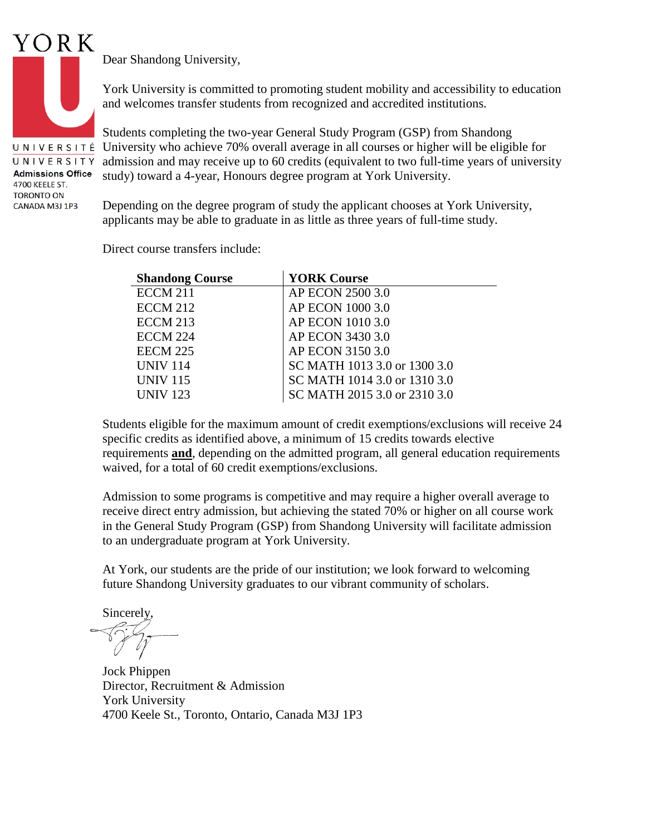

UNIVERSITÉ UNIVERSITY **Admissions Office** 4700 KEELE ST. **TORONTO ON** CANADA M3J 1P3

Dear Shandong University,

York University is committed to promoting student mobility and accessibility to education and welcomes transfer students from recognized and accredited institutions.

Students completing the two-year General Study Program (GSP) from Shandong University who achieve 70% overall average in all courses or higher will be eligible for admission and may receive up to 60 credits (equivalent to two full-time years of university study) toward a 4-year, Honours degree program at York University.

Depending on the degree program of study the applicant chooses at York University, applicants may be able to graduate in as little as three years of full-time study.

Direct course transfers include:

| <b>Shandong Course</b> | <b>YORK Course</b>           |
|------------------------|------------------------------|
| <b>ECCM 211</b>        | AP ECON 2500 3.0             |
| <b>ECCM 212</b>        | AP ECON 1000 3.0             |
| <b>ECCM 213</b>        | AP ECON 1010 3.0             |
| <b>ECCM 224</b>        | AP ECON 3430 3.0             |
| <b>EECM 225</b>        | AP ECON 3150 3.0             |
| <b>UNIV 114</b>        | SC MATH 1013 3.0 or 1300 3.0 |
| <b>UNIV 115</b>        | SC MATH 1014 3.0 or 1310 3.0 |
| <b>UNIV 123</b>        | SC MATH 2015 3.0 or 2310 3.0 |

Students eligible for the maximum amount of credit exemptions/exclusions will receive 24 specific credits as identified above, a minimum of 15 credits towards elective requirements **and**, depending on the admitted program, all general education requirements waived, for a total of 60 credit exemptions/exclusions.

Admission to some programs is competitive and may require a higher overall average to receive direct entry admission, but achieving the stated 70% or higher on all course work in the General Study Program (GSP) from Shandong University will facilitate admission to an undergraduate program at York University.

At York, our students are the pride of our institution; we look forward to welcoming future Shandong University graduates to our vibrant community of scholars.

Sincerely,

Jock Phippen Director, Recruitment & Admission York University 4700 Keele St., Toronto, Ontario, Canada M3J 1P3